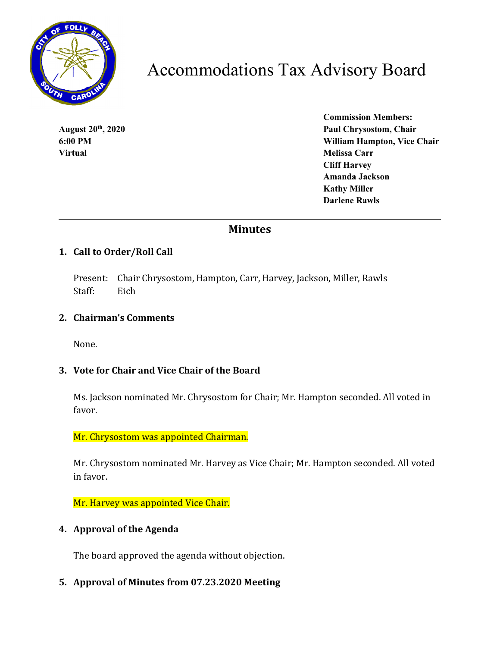

# Accommodations Tax Advisory Board

**Virtual** Melissa Carr

**Commission Members: August 20th, 2020 Paul Chrysostom, Chair 6:00 PM William Hampton, Vice Chair Cliff Harvey Amanda Jackson Kathy Miller Darlene Rawls**

# **Minutes**

# **1. Call to Order/Roll Call**

Present: Chair Chrysostom, Hampton, Carr, Harvey, Jackson, Miller, Rawls Staff: Eich

#### **2. Chairman's Comments**

None.

# **3. Vote for Chair and Vice Chair of the Board**

Ms. Jackson nominated Mr. Chrysostom for Chair; Mr. Hampton seconded. All voted in favor.

Mr. Chrysostom was appointed Chairman.

Mr. Chrysostom nominated Mr. Harvey as Vice Chair; Mr. Hampton seconded. All voted in favor.

Mr. Harvey was appointed Vice Chair.

#### **4. Approval of the Agenda**

The board approved the agenda without objection.

# **5. Approval of Minutes from 07.23.2020 Meeting**